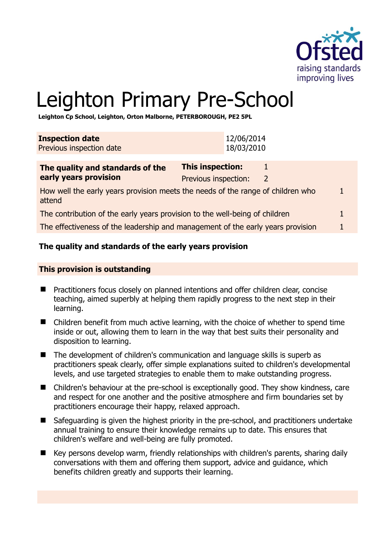

# Leighton Primary Pre-School

**Leighton Cp School, Leighton, Orton Malborne, PETERBOROUGH, PE2 5PL** 

| <b>Inspection date</b><br>Previous inspection date                              | 12/06/2014<br>18/03/2010                                                        |              |
|---------------------------------------------------------------------------------|---------------------------------------------------------------------------------|--------------|
| The quality and standards of the<br>early years provision                       | <b>This inspection:</b><br>1<br>Previous inspection:<br>$\overline{2}$          |              |
| attend                                                                          | How well the early years provision meets the needs of the range of children who | $\mathbf{1}$ |
| The contribution of the early years provision to the well-being of children     |                                                                                 |              |
| The effectiveness of the leadership and management of the early years provision |                                                                                 |              |

# **The quality and standards of the early years provision**

#### **This provision is outstanding**

- Practitioners focus closely on planned intentions and offer children clear, concise teaching, aimed superbly at helping them rapidly progress to the next step in their learning.
- Children benefit from much active learning, with the choice of whether to spend time inside or out, allowing them to learn in the way that best suits their personality and disposition to learning.
- The development of children's communication and language skills is superb as practitioners speak clearly, offer simple explanations suited to children's developmental levels, and use targeted strategies to enable them to make outstanding progress.
- Children's behaviour at the pre-school is exceptionally good. They show kindness, care and respect for one another and the positive atmosphere and firm boundaries set by practitioners encourage their happy, relaxed approach.
- Safeguarding is given the highest priority in the pre-school, and practitioners undertake annual training to ensure their knowledge remains up to date. This ensures that children's welfare and well-being are fully promoted.
- Key persons develop warm, friendly relationships with children's parents, sharing daily conversations with them and offering them support, advice and guidance, which benefits children greatly and supports their learning.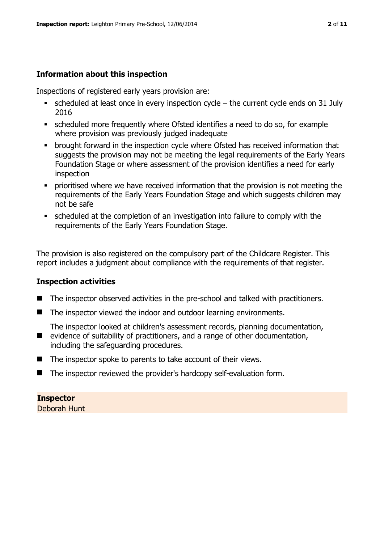# **Information about this inspection**

Inspections of registered early years provision are:

- $\bullet$  scheduled at least once in every inspection cycle the current cycle ends on 31 July 2016
- scheduled more frequently where Ofsted identifies a need to do so, for example where provision was previously judged inadequate
- **•** brought forward in the inspection cycle where Ofsted has received information that suggests the provision may not be meeting the legal requirements of the Early Years Foundation Stage or where assessment of the provision identifies a need for early inspection
- **•** prioritised where we have received information that the provision is not meeting the requirements of the Early Years Foundation Stage and which suggests children may not be safe
- scheduled at the completion of an investigation into failure to comply with the requirements of the Early Years Foundation Stage.

The provision is also registered on the compulsory part of the Childcare Register. This report includes a judgment about compliance with the requirements of that register.

# **Inspection activities**

- The inspector observed activities in the pre-school and talked with practitioners.
- The inspector viewed the indoor and outdoor learning environments.

The inspector looked at children's assessment records, planning documentation,

- evidence of suitability of practitioners, and a range of other documentation, including the safeguarding procedures.
- The inspector spoke to parents to take account of their views.
- The inspector reviewed the provider's hardcopy self-evaluation form.

#### **Inspector**

Deborah Hunt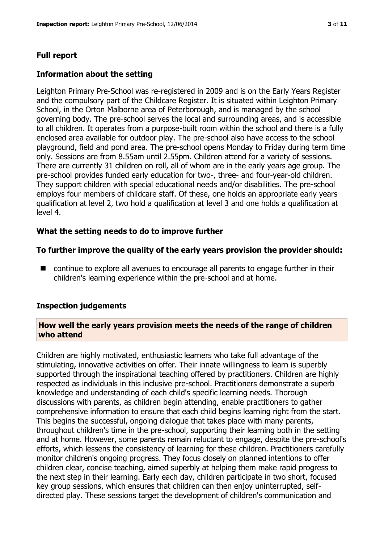# **Full report**

#### **Information about the setting**

Leighton Primary Pre-School was re-registered in 2009 and is on the Early Years Register and the compulsory part of the Childcare Register. It is situated within Leighton Primary School, in the Orton Malborne area of Peterborough, and is managed by the school governing body. The pre-school serves the local and surrounding areas, and is accessible to all children. It operates from a purpose-built room within the school and there is a fully enclosed area available for outdoor play. The pre-school also have access to the school playground, field and pond area. The pre-school opens Monday to Friday during term time only. Sessions are from 8.55am until 2.55pm. Children attend for a variety of sessions. There are currently 31 children on roll, all of whom are in the early years age group. The pre-school provides funded early education for two-, three- and four-year-old children. They support children with special educational needs and/or disabilities. The pre-school employs four members of childcare staff. Of these, one holds an appropriate early years qualification at level 2, two hold a qualification at level 3 and one holds a qualification at level 4.

#### **What the setting needs to do to improve further**

#### **To further improve the quality of the early years provision the provider should:**

■ continue to explore all avenues to encourage all parents to engage further in their children's learning experience within the pre-school and at home.

#### **Inspection judgements**

#### **How well the early years provision meets the needs of the range of children who attend**

Children are highly motivated, enthusiastic learners who take full advantage of the stimulating, innovative activities on offer. Their innate willingness to learn is superbly supported through the inspirational teaching offered by practitioners. Children are highly respected as individuals in this inclusive pre-school. Practitioners demonstrate a superb knowledge and understanding of each child's specific learning needs. Thorough discussions with parents, as children begin attending, enable practitioners to gather comprehensive information to ensure that each child begins learning right from the start. This begins the successful, ongoing dialogue that takes place with many parents, throughout children's time in the pre-school, supporting their learning both in the setting and at home. However, some parents remain reluctant to engage, despite the pre-school's efforts, which lessens the consistency of learning for these children. Practitioners carefully monitor children's ongoing progress. They focus closely on planned intentions to offer children clear, concise teaching, aimed superbly at helping them make rapid progress to the next step in their learning. Early each day, children participate in two short, focused key group sessions, which ensures that children can then enjoy uninterrupted, selfdirected play. These sessions target the development of children's communication and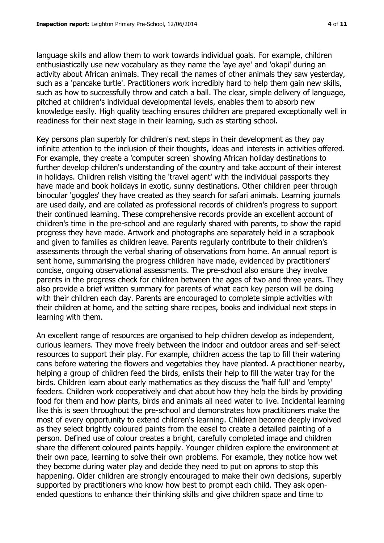language skills and allow them to work towards individual goals. For example, children enthusiastically use new vocabulary as they name the 'aye aye' and 'okapi' during an activity about African animals. They recall the names of other animals they saw yesterday, such as a 'pancake turtle'. Practitioners work incredibly hard to help them gain new skills, such as how to successfully throw and catch a ball. The clear, simple delivery of language, pitched at children's individual developmental levels, enables them to absorb new knowledge easily. High quality teaching ensures children are prepared exceptionally well in

readiness for their next stage in their learning, such as starting school.

Key persons plan superbly for children's next steps in their development as they pay infinite attention to the inclusion of their thoughts, ideas and interests in activities offered. For example, they create a 'computer screen' showing African holiday destinations to further develop children's understanding of the country and take account of their interest in holidays. Children relish visiting the 'travel agent' with the individual passports they have made and book holidays in exotic, sunny destinations. Other children peer through binocular 'goggles' they have created as they search for safari animals. Learning journals are used daily, and are collated as professional records of children's progress to support their continued learning. These comprehensive records provide an excellent account of children's time in the pre-school and are regularly shared with parents, to show the rapid progress they have made. Artwork and photographs are separately held in a scrapbook and given to families as children leave. Parents regularly contribute to their children's assessments through the verbal sharing of observations from home. An annual report is sent home, summarising the progress children have made, evidenced by practitioners' concise, ongoing observational assessments. The pre-school also ensure they involve parents in the progress check for children between the ages of two and three years. They also provide a brief written summary for parents of what each key person will be doing with their children each day. Parents are encouraged to complete simple activities with their children at home, and the setting share recipes, books and individual next steps in learning with them.

An excellent range of resources are organised to help children develop as independent, curious learners. They move freely between the indoor and outdoor areas and self-select resources to support their play. For example, children access the tap to fill their watering cans before watering the flowers and vegetables they have planted. A practitioner nearby, helping a group of children feed the birds, enlists their help to fill the water tray for the birds. Children learn about early mathematics as they discuss the 'half full' and 'empty' feeders. Children work cooperatively and chat about how they help the birds by providing food for them and how plants, birds and animals all need water to live. Incidental learning like this is seen throughout the pre-school and demonstrates how practitioners make the most of every opportunity to extend children's learning. Children become deeply involved as they select brightly coloured paints from the easel to create a detailed painting of a person. Defined use of colour creates a bright, carefully completed image and children share the different coloured paints happily. Younger children explore the environment at their own pace, learning to solve their own problems. For example, they notice how wet they become during water play and decide they need to put on aprons to stop this happening. Older children are strongly encouraged to make their own decisions, superbly supported by practitioners who know how best to prompt each child. They ask openended questions to enhance their thinking skills and give children space and time to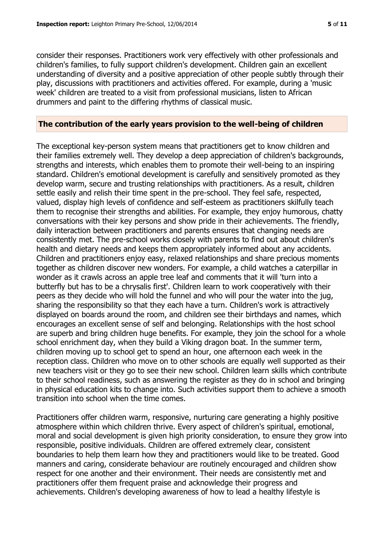consider their responses. Practitioners work very effectively with other professionals and children's families, to fully support children's development. Children gain an excellent understanding of diversity and a positive appreciation of other people subtly through their

play, discussions with practitioners and activities offered. For example, during a 'music week' children are treated to a visit from professional musicians, listen to African drummers and paint to the differing rhythms of classical music.

# **The contribution of the early years provision to the well-being of children**

The exceptional key-person system means that practitioners get to know children and their families extremely well. They develop a deep appreciation of children's backgrounds, strengths and interests, which enables them to promote their well-being to an inspiring standard. Children's emotional development is carefully and sensitively promoted as they develop warm, secure and trusting relationships with practitioners. As a result, children settle easily and relish their time spent in the pre-school. They feel safe, respected, valued, display high levels of confidence and self-esteem as practitioners skilfully teach them to recognise their strengths and abilities. For example, they enjoy humorous, chatty conversations with their key persons and show pride in their achievements. The friendly, daily interaction between practitioners and parents ensures that changing needs are consistently met. The pre-school works closely with parents to find out about children's health and dietary needs and keeps them appropriately informed about any accidents. Children and practitioners enjoy easy, relaxed relationships and share precious moments together as children discover new wonders. For example, a child watches a caterpillar in wonder as it crawls across an apple tree leaf and comments that it will 'turn into a butterfly but has to be a chrysalis first'. Children learn to work cooperatively with their peers as they decide who will hold the funnel and who will pour the water into the jug, sharing the responsibility so that they each have a turn. Children's work is attractively displayed on boards around the room, and children see their birthdays and names, which encourages an excellent sense of self and belonging. Relationships with the host school are superb and bring children huge benefits. For example, they join the school for a whole school enrichment day, when they build a Viking dragon boat. In the summer term, children moving up to school get to spend an hour, one afternoon each week in the reception class. Children who move on to other schools are equally well supported as their new teachers visit or they go to see their new school. Children learn skills which contribute to their school readiness, such as answering the register as they do in school and bringing in physical education kits to change into. Such activities support them to achieve a smooth transition into school when the time comes.

Practitioners offer children warm, responsive, nurturing care generating a highly positive atmosphere within which children thrive. Every aspect of children's spiritual, emotional, moral and social development is given high priority consideration, to ensure they grow into responsible, positive individuals. Children are offered extremely clear, consistent boundaries to help them learn how they and practitioners would like to be treated. Good manners and caring, considerate behaviour are routinely encouraged and children show respect for one another and their environment. Their needs are consistently met and practitioners offer them frequent praise and acknowledge their progress and achievements. Children's developing awareness of how to lead a healthy lifestyle is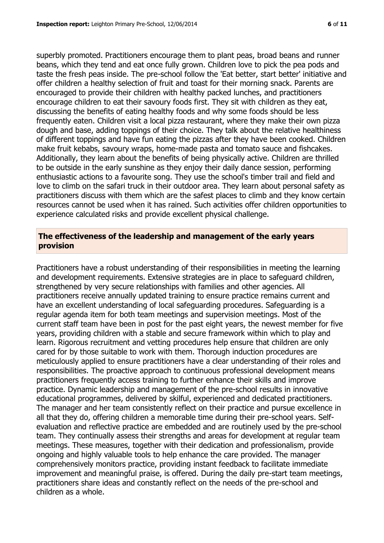superbly promoted. Practitioners encourage them to plant peas, broad beans and runner beans, which they tend and eat once fully grown. Children love to pick the pea pods and taste the fresh peas inside. The pre-school follow the 'Eat better, start better' initiative and offer children a healthy selection of fruit and toast for their morning snack. Parents are encouraged to provide their children with healthy packed lunches, and practitioners encourage children to eat their savoury foods first. They sit with children as they eat, discussing the benefits of eating healthy foods and why some foods should be less frequently eaten. Children visit a local pizza restaurant, where they make their own pizza dough and base, adding toppings of their choice. They talk about the relative healthiness of different toppings and have fun eating the pizzas after they have been cooked. Children make fruit kebabs, savoury wraps, home-made pasta and tomato sauce and fishcakes. Additionally, they learn about the benefits of being physically active. Children are thrilled to be outside in the early sunshine as they enjoy their daily dance session, performing enthusiastic actions to a favourite song. They use the school's timber trail and field and love to climb on the safari truck in their outdoor area. They learn about personal safety as practitioners discuss with them which are the safest places to climb and they know certain resources cannot be used when it has rained. Such activities offer children opportunities to experience calculated risks and provide excellent physical challenge.

#### **The effectiveness of the leadership and management of the early years provision**

Practitioners have a robust understanding of their responsibilities in meeting the learning and development requirements. Extensive strategies are in place to safeguard children, strengthened by very secure relationships with families and other agencies. All practitioners receive annually updated training to ensure practice remains current and have an excellent understanding of local safeguarding procedures. Safeguarding is a regular agenda item for both team meetings and supervision meetings. Most of the current staff team have been in post for the past eight years, the newest member for five years, providing children with a stable and secure framework within which to play and learn. Rigorous recruitment and vetting procedures help ensure that children are only cared for by those suitable to work with them. Thorough induction procedures are meticulously applied to ensure practitioners have a clear understanding of their roles and responsibilities. The proactive approach to continuous professional development means practitioners frequently access training to further enhance their skills and improve practice. Dynamic leadership and management of the pre-school results in innovative educational programmes, delivered by skilful, experienced and dedicated practitioners. The manager and her team consistently reflect on their practice and pursue excellence in all that they do, offering children a memorable time during their pre-school years. Selfevaluation and reflective practice are embedded and are routinely used by the pre-school team. They continually assess their strengths and areas for development at regular team meetings. These measures, together with their dedication and professionalism, provide ongoing and highly valuable tools to help enhance the care provided. The manager comprehensively monitors practice, providing instant feedback to facilitate immediate improvement and meaningful praise, is offered. During the daily pre-start team meetings, practitioners share ideas and constantly reflect on the needs of the pre-school and children as a whole.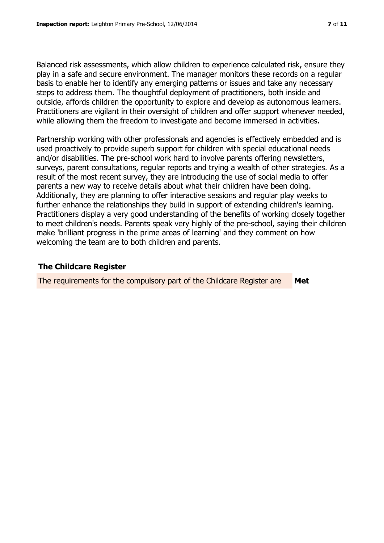Balanced risk assessments, which allow children to experience calculated risk, ensure they play in a safe and secure environment. The manager monitors these records on a regular basis to enable her to identify any emerging patterns or issues and take any necessary steps to address them. The thoughtful deployment of practitioners, both inside and outside, affords children the opportunity to explore and develop as autonomous learners. Practitioners are vigilant in their oversight of children and offer support whenever needed, while allowing them the freedom to investigate and become immersed in activities.

Partnership working with other professionals and agencies is effectively embedded and is used proactively to provide superb support for children with special educational needs and/or disabilities. The pre-school work hard to involve parents offering newsletters, surveys, parent consultations, regular reports and trying a wealth of other strategies. As a result of the most recent survey, they are introducing the use of social media to offer parents a new way to receive details about what their children have been doing. Additionally, they are planning to offer interactive sessions and regular play weeks to further enhance the relationships they build in support of extending children's learning. Practitioners display a very good understanding of the benefits of working closely together to meet children's needs. Parents speak very highly of the pre-school, saying their children make 'brilliant progress in the prime areas of learning' and they comment on how welcoming the team are to both children and parents.

#### **The Childcare Register**

The requirements for the compulsory part of the Childcare Register are **Met**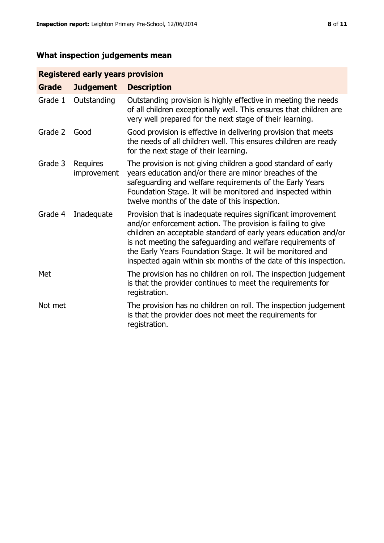# **What inspection judgements mean**

# **Registered early years provision**

| <b>Grade</b> | <b>Judgement</b>        | <b>Description</b>                                                                                                                                                                                                                                                                                                                                                                                |
|--------------|-------------------------|---------------------------------------------------------------------------------------------------------------------------------------------------------------------------------------------------------------------------------------------------------------------------------------------------------------------------------------------------------------------------------------------------|
| Grade 1      | Outstanding             | Outstanding provision is highly effective in meeting the needs<br>of all children exceptionally well. This ensures that children are<br>very well prepared for the next stage of their learning.                                                                                                                                                                                                  |
| Grade 2      | Good                    | Good provision is effective in delivering provision that meets<br>the needs of all children well. This ensures children are ready<br>for the next stage of their learning.                                                                                                                                                                                                                        |
| Grade 3      | Requires<br>improvement | The provision is not giving children a good standard of early<br>years education and/or there are minor breaches of the<br>safeguarding and welfare requirements of the Early Years<br>Foundation Stage. It will be monitored and inspected within<br>twelve months of the date of this inspection.                                                                                               |
| Grade 4      | Inadequate              | Provision that is inadequate requires significant improvement<br>and/or enforcement action. The provision is failing to give<br>children an acceptable standard of early years education and/or<br>is not meeting the safeguarding and welfare requirements of<br>the Early Years Foundation Stage. It will be monitored and<br>inspected again within six months of the date of this inspection. |
| Met          |                         | The provision has no children on roll. The inspection judgement<br>is that the provider continues to meet the requirements for<br>registration.                                                                                                                                                                                                                                                   |
| Not met      |                         | The provision has no children on roll. The inspection judgement<br>is that the provider does not meet the requirements for<br>registration.                                                                                                                                                                                                                                                       |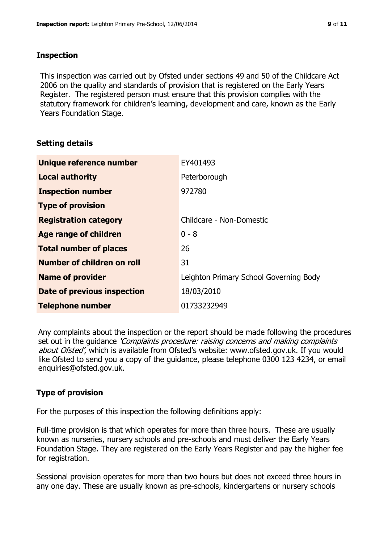#### **Inspection**

This inspection was carried out by Ofsted under sections 49 and 50 of the Childcare Act 2006 on the quality and standards of provision that is registered on the Early Years Register. The registered person must ensure that this provision complies with the statutory framework for children's learning, development and care, known as the Early Years Foundation Stage.

# **Setting details**

| Unique reference number            | EY401493                               |
|------------------------------------|----------------------------------------|
| <b>Local authority</b>             | Peterborough                           |
| <b>Inspection number</b>           | 972780                                 |
| <b>Type of provision</b>           |                                        |
| <b>Registration category</b>       | Childcare - Non-Domestic               |
| Age range of children              | $0 - 8$                                |
| <b>Total number of places</b>      | 26                                     |
| Number of children on roll         | 31                                     |
| <b>Name of provider</b>            | Leighton Primary School Governing Body |
| <b>Date of previous inspection</b> | 18/03/2010                             |
| <b>Telephone number</b>            | 01733232949                            |

Any complaints about the inspection or the report should be made following the procedures set out in the guidance *'Complaints procedure: raising concerns and making complaints* about Ofsted', which is available from Ofsted's website: www.ofsted.gov.uk. If you would like Ofsted to send you a copy of the guidance, please telephone 0300 123 4234, or email enquiries@ofsted.gov.uk.

# **Type of provision**

For the purposes of this inspection the following definitions apply:

Full-time provision is that which operates for more than three hours. These are usually known as nurseries, nursery schools and pre-schools and must deliver the Early Years Foundation Stage. They are registered on the Early Years Register and pay the higher fee for registration.

Sessional provision operates for more than two hours but does not exceed three hours in any one day. These are usually known as pre-schools, kindergartens or nursery schools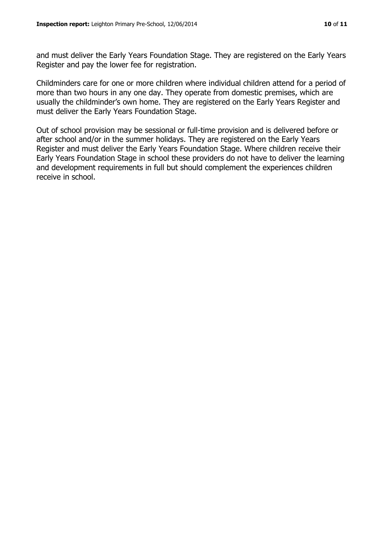and must deliver the Early Years Foundation Stage. They are registered on the Early Years Register and pay the lower fee for registration.

Childminders care for one or more children where individual children attend for a period of more than two hours in any one day. They operate from domestic premises, which are usually the childminder's own home. They are registered on the Early Years Register and must deliver the Early Years Foundation Stage.

Out of school provision may be sessional or full-time provision and is delivered before or after school and/or in the summer holidays. They are registered on the Early Years Register and must deliver the Early Years Foundation Stage. Where children receive their Early Years Foundation Stage in school these providers do not have to deliver the learning and development requirements in full but should complement the experiences children receive in school.